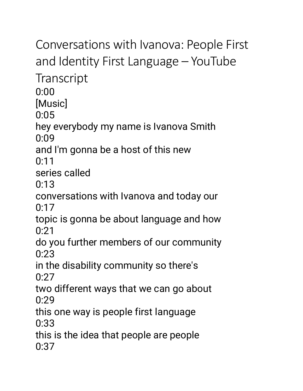Conversations with Ivanova: People First and Identity First Language – YouTube **Transcript** 0:00 [Music] 0:05 hey everybody my name is Ivanova Smith 0:09 and I'm gonna be a host of this new  $0.11$ series called 0:13 conversations with Ivanova and today our  $0:17$ topic is gonna be about language and how 0:21 do you further members of our community  $0.23$ in the disability community so there's  $0:27$ two different ways that we can go about 0:29 this one way is people first language 0:33 this is the idea that people are people 0:37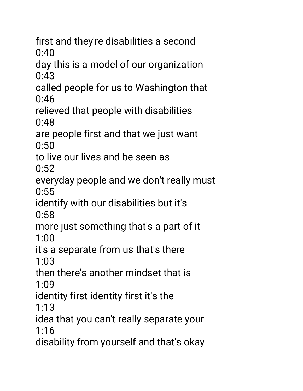first and they're disabilities a second 0:40

day this is a model of our organization 0:43

called people for us to Washington that 0:46

relieved that people with disabilities 0:48

are people first and that we just want 0:50

to live our lives and be seen as  $0:52$ 

everyday people and we don't really must 0:55

identify with our disabilities but it's 0:58

more just something that's a part of it 1:00

it's a separate from us that's there 1:03

then there's another mindset that is 1:09

identity first identity first it's the

1:13

idea that you can't really separate your 1:16

disability from yourself and that's okay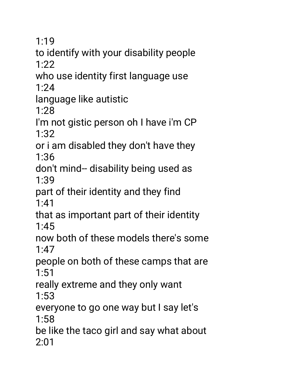1:19

to identify with your disability people 1:22

who use identity first language use 1:24

language like autistic

1:28

I'm not gistic person oh I have i'm CP 1:32

or i am disabled they don't have they 1:36

don't mind-- disability being used as 1:39

part of their identity and they find 1:41

that as important part of their identity 1:45

now both of these models there's some 1:47

people on both of these camps that are 1:51

really extreme and they only want 1:53

everyone to go one way but I say let's 1:58

be like the taco girl and say what about 2:01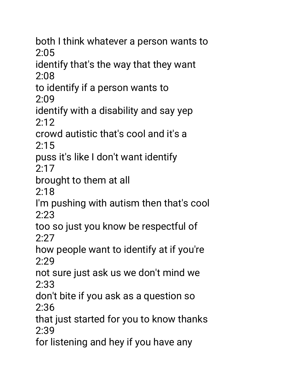both I think whatever a person wants to 2:05

identify that's the way that they want 2:08

to identify if a person wants to 2:09

identify with a disability and say yep  $2:12$ 

crowd autistic that's cool and it's a 2:15

puss it's like I don't want identify 2:17

brought to them at all

2:18

I'm pushing with autism then that's cool 2:23

too so just you know be respectful of 2:27

how people want to identify at if you're 2:29

not sure just ask us we don't mind we 2:33

don't bite if you ask as a question so 2:36

that just started for you to know thanks 2:39

for listening and hey if you have any